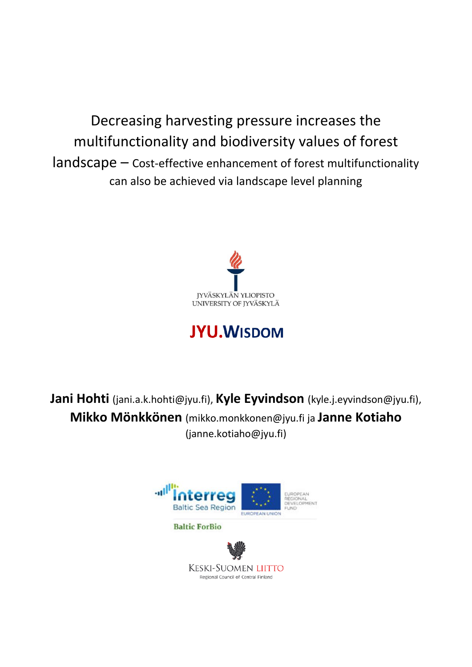Decreasing harvesting pressure increases the multifunctionality and biodiversity values of forest landscape – Cost-effective enhancement of forest multifunctionality can also be achieved via landscape level planning



# **JYU.WISDOM**

**Jani Hohti** (jani.a.k.hohti@jyu.fi), **Kyle Eyvindson** (kyle.j.eyvindson@jyu.fi), **Mikko Mönkkönen** (mikko.monkkonen@jyu.fi ja **Janne Kotiaho** (janne.kotiaho@jyu.fi)

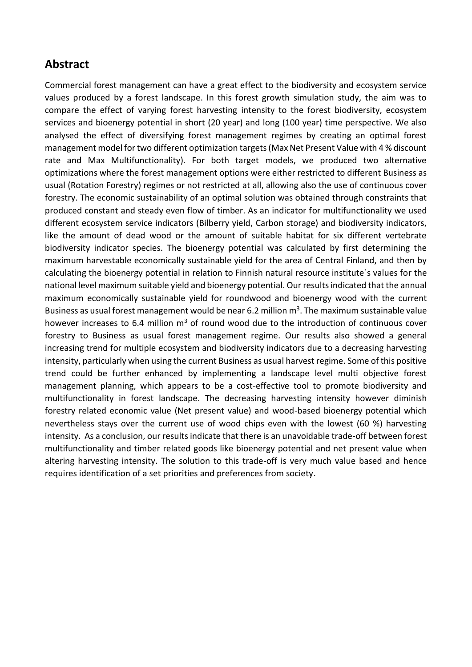## **Abstract**

Commercial forest management can have a great effect to the biodiversity and ecosystem service values produced by a forest landscape. In this forest growth simulation study, the aim was to compare the effect of varying forest harvesting intensity to the forest biodiversity, ecosystem services and bioenergy potential in short (20 year) and long (100 year) time perspective. We also analysed the effect of diversifying forest management regimes by creating an optimal forest management model for two different optimization targets (Max Net Present Value with 4 % discount rate and Max Multifunctionality). For both target models, we produced two alternative optimizations where the forest management options were either restricted to different Business as usual (Rotation Forestry) regimes or not restricted at all, allowing also the use of continuous cover forestry. The economic sustainability of an optimal solution was obtained through constraints that produced constant and steady even flow of timber. As an indicator for multifunctionality we used different ecosystem service indicators (Bilberry yield, Carbon storage) and biodiversity indicators, like the amount of dead wood or the amount of suitable habitat for six different vertebrate biodiversity indicator species. The bioenergy potential was calculated by first determining the maximum harvestable economically sustainable yield for the area of Central Finland, and then by calculating the bioenergy potential in relation to Finnish natural resource institute´s values for the national level maximum suitable yield and bioenergy potential. Our results indicated that the annual maximum economically sustainable yield for roundwood and bioenergy wood with the current Business as usual forest management would be near 6.2 million  $m<sup>3</sup>$ . The maximum sustainable value however increases to 6.4 million  $m<sup>3</sup>$  of round wood due to the introduction of continuous cover forestry to Business as usual forest management regime. Our results also showed a general increasing trend for multiple ecosystem and biodiversity indicators due to a decreasing harvesting intensity, particularly when using the current Business as usual harvest regime. Some of this positive trend could be further enhanced by implementing a landscape level multi objective forest management planning, which appears to be a cost-effective tool to promote biodiversity and multifunctionality in forest landscape. The decreasing harvesting intensity however diminish forestry related economic value (Net present value) and wood-based bioenergy potential which nevertheless stays over the current use of wood chips even with the lowest (60 %) harvesting intensity. As a conclusion, our results indicate that there is an unavoidable trade-off between forest multifunctionality and timber related goods like bioenergy potential and net present value when altering harvesting intensity. The solution to this trade-off is very much value based and hence requires identification of a set priorities and preferences from society.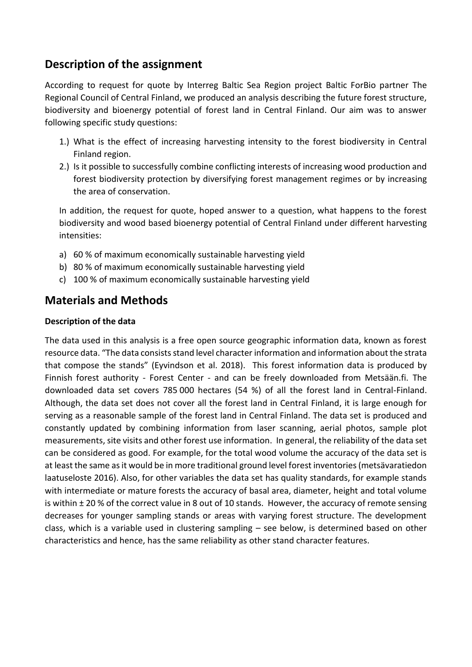## **Description of the assignment**

According to request for quote by Interreg Baltic Sea Region project Baltic ForBio partner The Regional Council of Central Finland, we produced an analysis describing the future forest structure, biodiversity and bioenergy potential of forest land in Central Finland. Our aim was to answer following specific study questions:

- 1.) What is the effect of increasing harvesting intensity to the forest biodiversity in Central Finland region.
- 2.) Is it possible to successfully combine conflicting interests of increasing wood production and forest biodiversity protection by diversifying forest management regimes or by increasing the area of conservation.

In addition, the request for quote, hoped answer to a question, what happens to the forest biodiversity and wood based bioenergy potential of Central Finland under different harvesting intensities:

- a) 60 % of maximum economically sustainable harvesting yield
- b) 80 % of maximum economically sustainable harvesting yield
- c) 100 % of maximum economically sustainable harvesting yield

## **Materials and Methods**

#### **Description of the data**

The data used in this analysis is a free open source geographic information data, known as forest resource data. "The data consists stand level character information and information about the strata that compose the stands" (Eyvindson et al. 2018). This forest information data is produced by Finnish forest authority - Forest Center - and can be freely downloaded from Metsään.fi. The downloaded data set covers 785 000 hectares (54 %) of all the forest land in Central-Finland. Although, the data set does not cover all the forest land in Central Finland, it is large enough for serving as a reasonable sample of the forest land in Central Finland. The data set is produced and constantly updated by combining information from laser scanning, aerial photos, sample plot measurements, site visits and other forest use information. In general, the reliability of the data set can be considered as good. For example, for the total wood volume the accuracy of the data set is at least the same as it would be in more traditional ground level forest inventories (metsävaratiedon laatuseloste 2016). Also, for other variables the data set has quality standards, for example stands with intermediate or mature forests the accuracy of basal area, diameter, height and total volume is within ± 20 % of the correct value in 8 out of 10 stands. However, the accuracy of remote sensing decreases for younger sampling stands or areas with varying forest structure. The development class, which is a variable used in clustering sampling – see below, is determined based on other characteristics and hence, has the same reliability as other stand character features.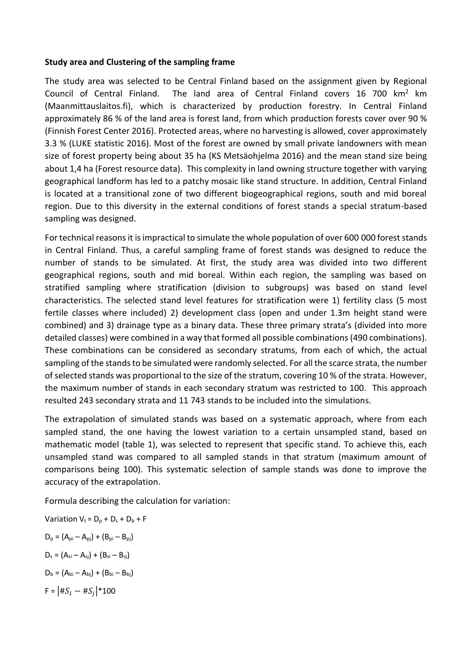#### **Study area and Clustering of the sampling frame**

The study area was selected to be Central Finland based on the assignment given by Regional Council of Central Finland. The land area of Central Finland covers  $16\,700\,$  km<sup>2</sup> km (Maanmittauslaitos.fi), which is characterized by production forestry. In Central Finland approximately 86 % of the land area is forest land, from which production forests cover over 90 % (Finnish Forest Center 2016). Protected areas, where no harvesting is allowed, cover approximately 3.3 % (LUKE statistic 2016). Most of the forest are owned by small private landowners with mean size of forest property being about 35 ha (KS Metsäohjelma 2016) and the mean stand size being about 1,4 ha (Forest resource data). This complexity in land owning structure together with varying geographical landform has led to a patchy mosaic like stand structure. In addition, Central Finland is located at a transitional zone of two different biogeographical regions, south and mid boreal region. Due to this diversity in the external conditions of forest stands a special stratum-based sampling was designed.

For technical reasons it is impractical to simulate the whole population of over 600 000 forest stands in Central Finland. Thus, a careful sampling frame of forest stands was designed to reduce the number of stands to be simulated. At first, the study area was divided into two different geographical regions, south and mid boreal. Within each region, the sampling was based on stratified sampling where stratification (division to subgroups) was based on stand level characteristics. The selected stand level features for stratification were 1) fertility class (5 most fertile classes where included) 2) development class (open and under 1.3m height stand were combined) and 3) drainage type as a binary data. These three primary strata's (divided into more detailed classes) were combined in a way that formed all possible combinations (490 combinations). These combinations can be considered as secondary stratums, from each of which, the actual sampling of the stands to be simulated were randomly selected. For all the scarce strata, the number of selected stands was proportional to the size of the stratum, covering 10 % of the strata. However, the maximum number of stands in each secondary stratum was restricted to 100. This approach resulted 243 secondary strata and 11 743 stands to be included into the simulations.

The extrapolation of simulated stands was based on a systematic approach, where from each sampled stand, the one having the lowest variation to a certain unsampled stand, based on mathematic model (table 1), was selected to represent that specific stand. To achieve this, each unsampled stand was compared to all sampled stands in that stratum (maximum amount of comparisons being 100). This systematic selection of sample stands was done to improve the accuracy of the extrapolation.

Formula describing the calculation for variation:

Variation  $V_t = D_p + D_s + D_b + F$  $D_p = (A_{pi} - A_{pi}) + (B_{pi} - B_{pi})$  $D_s = (A_{si} - A_{si}) + (B_{si} - B_{si})$  $D_b = (A_{bi} - A_{bi}) + (B_{bi} - B_{bi})$ F =  $|$ # $S_i -$  # $S_j$  $|$ \*100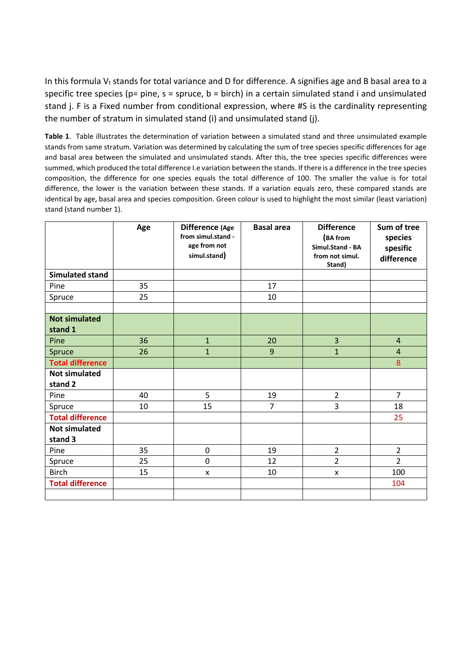In this formula  $V_t$  stands for total variance and D for difference. A signifies age and B basal area to a specific tree species ( $p=$  pine,  $s =$  spruce,  $b =$  birch) in a certain simulated stand i and unsimulated stand j. F is a Fixed number from conditional expression, where #S is the cardinality representing the number of stratum in simulated stand (i) and unsimulated stand (j).

**Table 1**. Table illustrates the determination of variation between a simulated stand and three unsimulated example stands from same stratum. Variation was determined by calculating the sum of tree species specific differences for age and basal area between the simulated and unsimulated stands. After this, the tree species specific differences were summed, which produced the total difference I.e variation between the stands. If there is a difference in the tree species composition, the difference for one species equals the total difference of 100. The smaller the value is for total difference, the lower is the variation between these stands. If a variation equals zero, these compared stands are identical by age, basal area and species composition. Green colour is used to highlight the most similar (least variation) stand (stand number 1).

|                                 | Age | Difference (Age<br>from simul.stand -<br>age from not<br>simul.stand) | <b>Basal area</b> | <b>Difference</b><br>(BA from<br>Simul.Stand - BA<br>from not simul.<br>Stand) | Sum of tree<br>species<br>spesific<br>difference |
|---------------------------------|-----|-----------------------------------------------------------------------|-------------------|--------------------------------------------------------------------------------|--------------------------------------------------|
| <b>Simulated stand</b>          |     |                                                                       |                   |                                                                                |                                                  |
| Pine                            | 35  |                                                                       | 17                |                                                                                |                                                  |
| Spruce                          | 25  |                                                                       | 10                |                                                                                |                                                  |
|                                 |     |                                                                       |                   |                                                                                |                                                  |
| <b>Not simulated</b><br>stand 1 |     |                                                                       |                   |                                                                                |                                                  |
| Pine                            | 36  | $\mathbf{1}$                                                          | 20                | 3                                                                              | $\overline{4}$                                   |
| Spruce                          | 26  | $\mathbf{1}$                                                          | 9                 | $\overline{1}$                                                                 | $\overline{4}$                                   |
| <b>Total difference</b>         |     |                                                                       |                   |                                                                                | 8                                                |
| <b>Not simulated</b>            |     |                                                                       |                   |                                                                                |                                                  |
| stand 2                         |     |                                                                       |                   |                                                                                |                                                  |
| Pine                            | 40  | 5                                                                     | 19                | $\overline{2}$                                                                 | $\overline{7}$                                   |
| Spruce                          | 10  | 15                                                                    | $\overline{7}$    | 3                                                                              | 18                                               |
| <b>Total difference</b>         |     |                                                                       |                   |                                                                                | 25                                               |
| <b>Not simulated</b><br>stand 3 |     |                                                                       |                   |                                                                                |                                                  |
| Pine                            | 35  | $\mathbf 0$                                                           | 19                | $\overline{2}$                                                                 | $\overline{2}$                                   |
| Spruce                          | 25  | $\mathbf 0$                                                           | 12                | $\overline{2}$                                                                 | $\overline{2}$                                   |
| <b>Birch</b>                    | 15  | X                                                                     | 10                | X                                                                              | 100                                              |
| <b>Total difference</b>         |     |                                                                       |                   |                                                                                | 104                                              |
|                                 |     |                                                                       |                   |                                                                                |                                                  |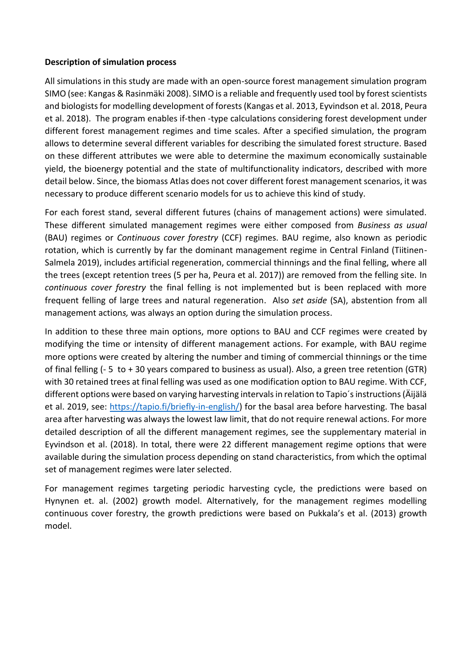#### **Description of simulation process**

All simulations in this study are made with an open-source forest management simulation program SIMO (see: Kangas & Rasinmäki 2008). SIMO is a reliable and frequently used tool by forest scientists and biologists for modelling development of forests (Kangas et al. 2013, Eyvindson et al. 2018, Peura et al. 2018). The program enables if-then -type calculations considering forest development under different forest management regimes and time scales. After a specified simulation, the program allows to determine several different variables for describing the simulated forest structure. Based on these different attributes we were able to determine the maximum economically sustainable yield, the bioenergy potential and the state of multifunctionality indicators, described with more detail below. Since, the biomass Atlas does not cover different forest management scenarios, it was necessary to produce different scenario models for us to achieve this kind of study.

For each forest stand, several different futures (chains of management actions) were simulated. These different simulated management regimes were either composed from *Business as usual* (BAU) regimes or *Continuous cover forestry* (CCF) regimes. BAU regime, also known as periodic rotation, which is currently by far the dominant management regime in Central Finland (Tiitinen-Salmela 2019), includes artificial regeneration, commercial thinnings and the final felling, where all the trees (except retention trees (5 per ha, Peura et al. 2017)) are removed from the felling site. In *continuous cover forestry* the final felling is not implemented but is been replaced with more frequent felling of large trees and natural regeneration. Also *set aside* (SA), abstention from all management action*s,* was always an option during the simulation process.

In addition to these three main options, more options to BAU and CCF regimes were created by modifying the time or intensity of different management actions. For example, with BAU regime more options were created by altering the number and timing of commercial thinnings or the time of final felling (- 5 to + 30 years compared to business as usual). Also, a green tree retention (GTR) with 30 retained trees at final felling was used as one modification option to BAU regime. With CCF, different options were based on varying harvesting intervals in relation to Tapio´s instructions (Äijälä et al. 2019, see: [https://tapio.fi/briefly-in-english/\)](https://tapio.fi/briefly-in-english/) for the basal area before harvesting. The basal area after harvesting was always the lowest law limit, that do not require renewal actions. For more detailed description of all the different management regimes, see the supplementary material in Eyvindson et al. (2018). In total, there were 22 different management regime options that were available during the simulation process depending on stand characteristics, from which the optimal set of management regimes were later selected.

For management regimes targeting periodic harvesting cycle, the predictions were based on Hynynen et. al. (2002) growth model. Alternatively, for the management regimes modelling continuous cover forestry, the growth predictions were based on Pukkala's et al. (2013) growth model.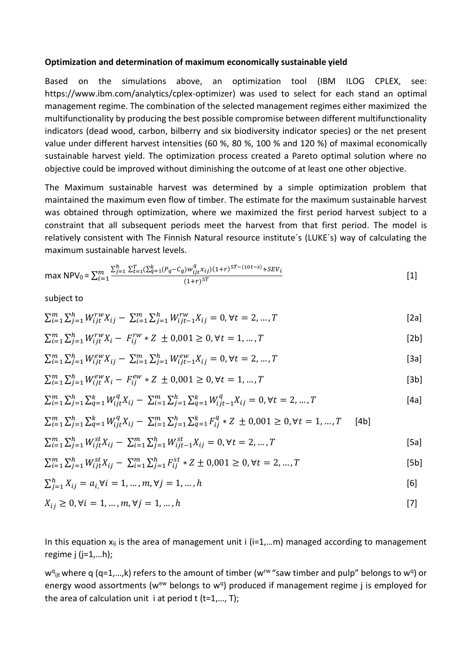#### **Optimization and determination of maximum economically sustainable yield**

Based on the simulations above, an optimization tool (IBM ILOG CPLEX, see: https://www.ibm.com/analytics/cplex-optimizer) was used to select for each stand an optimal management regime. The combination of the selected management regimes either maximized the multifunctionality by producing the best possible compromise between different multifunctionality indicators (dead wood, carbon, bilberry and six biodiversity indicator species) or the net present value under different harvest intensities (60 %, 80 %, 100 % and 120 %) of maximal economically sustainable harvest yield. The optimization process created a Pareto optimal solution where no objective could be improved without diminishing the outcome of at least one other objective.

The Maximum sustainable harvest was determined by a simple optimization problem that maintained the maximum even flow of timber. The estimate for the maximum sustainable harvest was obtained through optimization, where we maximized the first period harvest subject to a constraint that all subsequent periods meet the harvest from that first period. The model is relatively consistent with The Finnish Natural resource institute´s (LUKE´s) way of calculating the maximum sustainable harvest levels.

$$
\max \text{NPV}_0 = \sum_{i=1}^m \frac{\sum_{j=1}^h \sum_{t=1}^T (\sum_{q=1}^k (P_q - C_q) w_{ijt}^q x_{ij}) (1+r)^{5T - (10t - s)} + SEV_i}{(1+r)^{5T}}
$$
\n[1]

subject to

$$
\sum_{i=1}^{m} \sum_{j=1}^{h} W_{ijt}^{rw} X_{ij} - \sum_{i=1}^{m} \sum_{j=1}^{h} W_{ijt-1}^{rw} X_{ij} = 0, \forall t = 2, ..., T
$$
\n[2a]

$$
\sum_{i=1}^{m} \sum_{j=1}^{h} W_{ijt}^{rw} X_i - F_{ij}^{rw} * Z \pm 0,001 \ge 0, \forall t = 1,...,T
$$
\n[2b]

$$
\sum_{i=1}^{m} \sum_{j=1}^{h} W_{ijt}^{ew} X_{ij} - \sum_{i=1}^{m} \sum_{j=1}^{h} W_{ijt-1}^{ew} X_{ij} = 0, \forall t = 2, ..., T
$$
\n[3a]

$$
\sum_{i=1}^{m} \sum_{j=1}^{h} W_{ijt}^{ew} X_i - F_{ij}^{ew} * Z \pm 0.001 \ge 0, \forall t = 1, ..., T
$$
\n[3b]

$$
\sum_{i=1}^{m} \sum_{j=1}^{h} \sum_{q=1}^{k} W_{ijt}^{q} X_{ij} - \sum_{i=1}^{m} \sum_{j=1}^{h} \sum_{q=1}^{k} W_{ijt-1}^{q} X_{ij} = 0, \forall t = 2, ..., T
$$
\n[4a]

$$
\sum_{i=1}^{m} \sum_{j=1}^{h} \sum_{q=1}^{k} W_{ijt}^{q} X_{ij} - \sum_{i=1}^{m} \sum_{j=1}^{h} \sum_{q=1}^{k} F_{ij}^{q} * Z \pm 0,001 \ge 0, \forall t = 1,...,T
$$
 [4b]

$$
\sum_{i=1}^{m} \sum_{j=1}^{h} W_{ijt}^{st} X_{ij} - \sum_{i=1}^{m} \sum_{j=1}^{h} W_{ijt-1}^{st} X_{ij} = 0, \forall t = 2, ..., T
$$
\n[5a]

$$
\sum_{i=1}^{m} \sum_{j=1}^{h} W_{ijt}^{st} X_{ij} - \sum_{i=1}^{m} \sum_{j=1}^{h} F_{ij}^{st} * Z \pm 0,001 \ge 0, \forall t = 2,...,T
$$
\n[5b]

$$
\sum_{j=1}^{h} X_{ij} = a_{i} \forall i = 1, ..., m, \forall j = 1, ..., h
$$
 [6]

$$
X_{ij} \ge 0, \forall i = 1, ..., m, \forall j = 1, ..., h
$$
\n[7]

In this equation  $x_{ii}$  is the area of management unit i (i=1,...m) managed according to management regime  $j$  ( $j=1,...h$ );

w<sup>q</sup><sub>ijt</sub> where q (q=1,...,k) refers to the amount of timber (w<sup>rw</sup> "saw timber and pulp" belongs to w<sup>q</sup>) or energy wood assortments (w<sup>ew</sup> belongs to w<sup>q</sup>) produced if management regime j is employed for the area of calculation unit i at period  $t$  ( $t=1,..., T$ );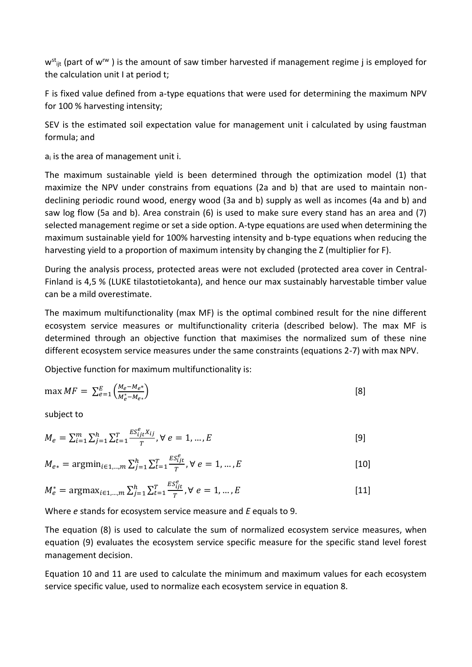$w<sup>st</sup>_{\text{lit}}$  (part of w<sup>rw</sup>) is the amount of saw timber harvested if management regime j is employed for the calculation unit I at period t;

F is fixed value defined from a-type equations that were used for determining the maximum NPV for 100 % harvesting intensity;

SEV is the estimated soil expectation value for management unit i calculated by using faustman formula; and

 $a_i$  is the area of management unit i.

The maximum sustainable yield is been determined through the optimization model (1) that maximize the NPV under constrains from equations (2a and b) that are used to maintain nondeclining periodic round wood, energy wood (3a and b) supply as well as incomes (4a and b) and saw log flow (5a and b). Area constrain (6) is used to make sure every stand has an area and (7) selected management regime or set a side option. A-type equations are used when determining the maximum sustainable yield for 100% harvesting intensity and b-type equations when reducing the harvesting yield to a proportion of maximum intensity by changing the Z (multiplier for F).

During the analysis process, protected areas were not excluded (protected area cover in Central-Finland is 4,5 % (LUKE tilastotietokanta), and hence our max sustainably harvestable timber value can be a mild overestimate.

The maximum multifunctionality (max MF) is the optimal combined result for the nine different ecosystem service measures or multifunctionality criteria (described below). The max MF is determined through an objective function that maximises the normalized sum of these nine different ecosystem service measures under the same constraints (equations 2-7) with max NPV.

Objective function for maximum multifunctionality is:

$$
\max MF = \sum_{e=1}^{E} \left( \frac{M_e - M_e*}{M_e^* - M_{e*}} \right)
$$
 [8]

subject to

$$
M_e = \sum_{i=1}^{m} \sum_{j=1}^{h} \sum_{t=1}^{T} \frac{ES_{ijt}^e X_{ij}}{T}, \forall e = 1, ..., E
$$
 [9]

$$
M_{e*} = \operatorname{argmin}_{i \in 1, \dots, m} \sum_{j=1}^{h} \sum_{t=1}^{T} \frac{ES_{ijt}^{e}}{T}, \forall e = 1, \dots, E
$$
 [10]

$$
M_e^* = \operatorname{argmax}_{i \in 1, \dots, m} \sum_{j=1}^h \sum_{t=1}^T \frac{ES_{ijt}^e}{T}, \forall e = 1, \dots, E
$$
 [11]

Where *e* stands for ecosystem service measure and *E* equals to 9.

The equation (8) is used to calculate the sum of normalized ecosystem service measures, when equation (9) evaluates the ecosystem service specific measure for the specific stand level forest management decision.

Equation 10 and 11 are used to calculate the minimum and maximum values for each ecosystem service specific value, used to normalize each ecosystem service in equation 8.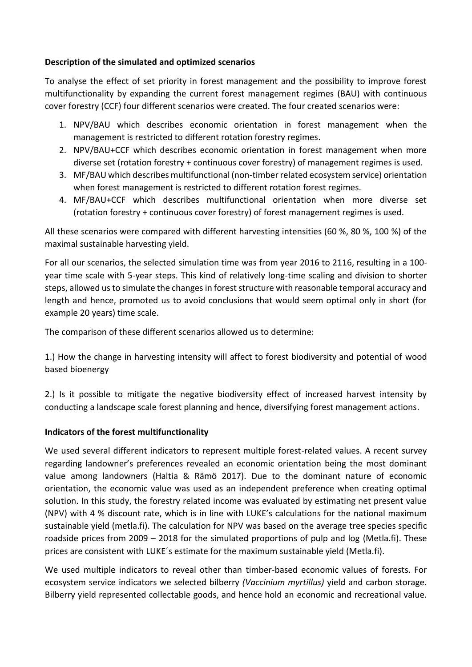#### **Description of the simulated and optimized scenarios**

To analyse the effect of set priority in forest management and the possibility to improve forest multifunctionality by expanding the current forest management regimes (BAU) with continuous cover forestry (CCF) four different scenarios were created. The four created scenarios were:

- 1. NPV/BAU which describes economic orientation in forest management when the management is restricted to different rotation forestry regimes.
- 2. NPV/BAU+CCF which describes economic orientation in forest management when more diverse set (rotation forestry + continuous cover forestry) of management regimes is used.
- 3. MF/BAU which describes multifunctional (non-timber related ecosystem service) orientation when forest management is restricted to different rotation forest regimes.
- 4. MF/BAU+CCF which describes multifunctional orientation when more diverse set (rotation forestry + continuous cover forestry) of forest management regimes is used.

All these scenarios were compared with different harvesting intensities (60 %, 80 %, 100 %) of the maximal sustainable harvesting yield.

For all our scenarios, the selected simulation time was from year 2016 to 2116, resulting in a 100 year time scale with 5-year steps. This kind of relatively long-time scaling and division to shorter steps, allowed us to simulate the changes in forest structure with reasonable temporal accuracy and length and hence, promoted us to avoid conclusions that would seem optimal only in short (for example 20 years) time scale.

The comparison of these different scenarios allowed us to determine:

1.) How the change in harvesting intensity will affect to forest biodiversity and potential of wood based bioenergy

2.) Is it possible to mitigate the negative biodiversity effect of increased harvest intensity by conducting a landscape scale forest planning and hence, diversifying forest management actions.

#### **Indicators of the forest multifunctionality**

We used several different indicators to represent multiple forest-related values. A recent survey regarding landowner's preferences revealed an economic orientation being the most dominant value among landowners (Haltia & Rämö 2017). Due to the dominant nature of economic orientation, the economic value was used as an independent preference when creating optimal solution. In this study, the forestry related income was evaluated by estimating net present value (NPV) with 4 % discount rate, which is in line with LUKE's calculations for the national maximum sustainable yield (metla.fi). The calculation for NPV was based on the average tree species specific roadside prices from 2009 – 2018 for the simulated proportions of pulp and log (Metla.fi). These prices are consistent with LUKE´s estimate for the maximum sustainable yield (Metla.fi).

We used multiple indicators to reveal other than timber-based economic values of forests. For ecosystem service indicators we selected bilberry *(Vaccinium myrtillus)* yield and carbon storage. Bilberry yield represented collectable goods, and hence hold an economic and recreational value.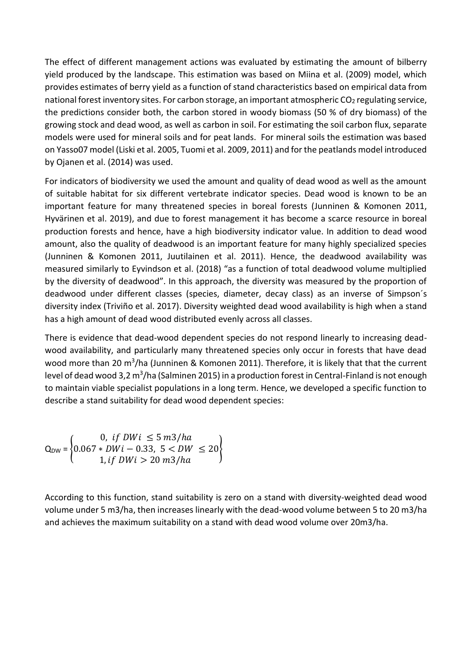The effect of different management actions was evaluated by estimating the amount of bilberry yield produced by the landscape. This estimation was based on Miina et al. (2009) model, which provides estimates of berry yield as a function of stand characteristics based on empirical data from national forest inventory sites. For carbon storage, an important atmospheric  $CO<sub>2</sub>$  regulating service, the predictions consider both, the carbon stored in woody biomass (50 % of dry biomass) of the growing stock and dead wood, as well as carbon in soil. For estimating the soil carbon flux, separate models were used for mineral soils and for peat lands. For mineral soils the estimation was based on Yasso07 model (Liski et al. 2005, Tuomi et al. 2009, 2011) and for the peatlands model introduced by Ojanen et al. (2014) was used.

For indicators of biodiversity we used the amount and quality of dead wood as well as the amount of suitable habitat for six different vertebrate indicator species. Dead wood is known to be an important feature for many threatened species in boreal forests (Junninen & Komonen 2011, Hyvärinen et al. 2019), and due to forest management it has become a scarce resource in boreal production forests and hence, have a high biodiversity indicator value. In addition to dead wood amount, also the quality of deadwood is an important feature for many highly specialized species (Junninen & Komonen 2011, Juutilainen et al. 2011). Hence, the deadwood availability was measured similarly to Eyvindson et al. (2018) "as a function of total deadwood volume multiplied by the diversity of deadwood". In this approach, the diversity was measured by the proportion of deadwood under different classes (species, diameter, decay class) as an inverse of Simpson´s diversity index (Triviño et al. 2017). Diversity weighted dead wood availability is high when a stand has a high amount of dead wood distributed evenly across all classes.

There is evidence that dead-wood dependent species do not respond linearly to increasing deadwood availability, and particularly many threatened species only occur in forests that have dead wood more than 20 m<sup>3</sup>/ha (Junninen & Komonen 2011). Therefore, it is likely that that the current level of dead wood 3,2 m<sup>3</sup>/ha (Salminen 2015) in a production forest in Central-Finland is not enough to maintain viable specialist populations in a long term. Hence, we developed a specific function to describe a stand suitability for dead wood dependent species:

$$
Q_{DW} = \begin{cases} 0, & if \ DWi \le 5 \ m3/ha \\ 0.067 * DWi - 0.33, & 5 < DW \le 20 \\ 1, & if \ DWi > 20 \ m3/ha \end{cases}
$$

According to this function, stand suitability is zero on a stand with diversity-weighted dead wood volume under 5 m3/ha, then increases linearly with the dead-wood volume between 5 to 20 m3/ha and achieves the maximum suitability on a stand with dead wood volume over 20m3/ha.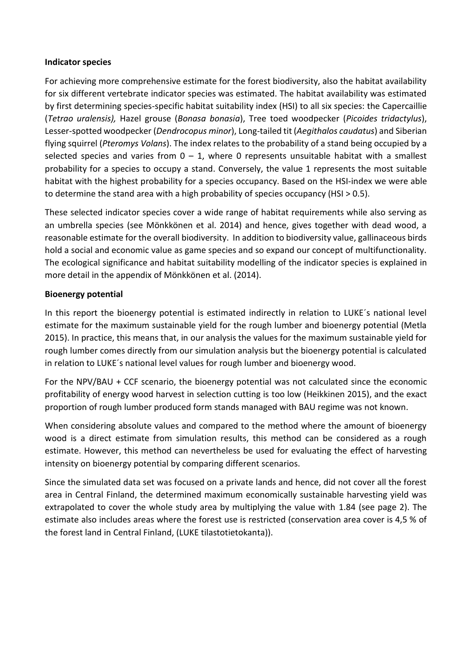#### **Indicator species**

For achieving more comprehensive estimate for the forest biodiversity, also the habitat availability for six different vertebrate indicator species was estimated. The habitat availability was estimated by first determining species-specific habitat suitability index (HSI) to all six species: the Capercaillie (*Tetrao uralensis),* Hazel grouse (*Bonasa bonasia*), Tree toed woodpecker (*Picoides tridactylus*), Lesser-spotted woodpecker (*Dendrocopus minor*), Long-tailed tit (*Aegithalos caudatus*) and Siberian flying squirrel (*Pteromys Volans*). The index relates to the probability of a stand being occupied by a selected species and varies from  $0 - 1$ , where 0 represents unsuitable habitat with a smallest probability for a species to occupy a stand. Conversely, the value 1 represents the most suitable habitat with the highest probability for a species occupancy. Based on the HSI-index we were able to determine the stand area with a high probability of species occupancy (HSI > 0.5).

These selected indicator species cover a wide range of habitat requirements while also serving as an umbrella species (see Mönkkönen et al. 2014) and hence, gives together with dead wood, a reasonable estimate for the overall biodiversity. In addition to biodiversity value, gallinaceous birds hold a social and economic value as game species and so expand our concept of multifunctionality. The ecological significance and habitat suitability modelling of the indicator species is explained in more detail in the appendix of Mönkkönen et al. (2014).

#### **Bioenergy potential**

In this report the bioenergy potential is estimated indirectly in relation to LUKE´s national level estimate for the maximum sustainable yield for the rough lumber and bioenergy potential (Metla 2015). In practice, this means that, in our analysis the values for the maximum sustainable yield for rough lumber comes directly from our simulation analysis but the bioenergy potential is calculated in relation to LUKE´s national level values for rough lumber and bioenergy wood.

For the NPV/BAU + CCF scenario, the bioenergy potential was not calculated since the economic profitability of energy wood harvest in selection cutting is too low (Heikkinen 2015), and the exact proportion of rough lumber produced form stands managed with BAU regime was not known.

When considering absolute values and compared to the method where the amount of bioenergy wood is a direct estimate from simulation results, this method can be considered as a rough estimate. However, this method can nevertheless be used for evaluating the effect of harvesting intensity on bioenergy potential by comparing different scenarios.

Since the simulated data set was focused on a private lands and hence, did not cover all the forest area in Central Finland, the determined maximum economically sustainable harvesting yield was extrapolated to cover the whole study area by multiplying the value with 1.84 (see page 2). The estimate also includes areas where the forest use is restricted (conservation area cover is 4,5 % of the forest land in Central Finland, (LUKE tilastotietokanta)).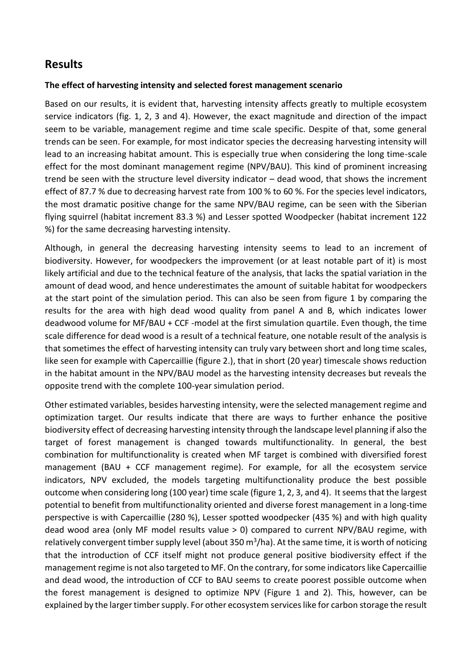## **Results**

#### **The effect of harvesting intensity and selected forest management scenario**

Based on our results, it is evident that, harvesting intensity affects greatly to multiple ecosystem service indicators (fig. 1, 2, 3 and 4). However, the exact magnitude and direction of the impact seem to be variable, management regime and time scale specific. Despite of that, some general trends can be seen. For example, for most indicator species the decreasing harvesting intensity will lead to an increasing habitat amount. This is especially true when considering the long time-scale effect for the most dominant management regime (NPV/BAU). This kind of prominent increasing trend be seen with the structure level diversity indicator – dead wood, that shows the increment effect of 87.7 % due to decreasing harvest rate from 100 % to 60 %. For the species level indicators, the most dramatic positive change for the same NPV/BAU regime, can be seen with the Siberian flying squirrel (habitat increment 83.3 %) and Lesser spotted Woodpecker (habitat increment 122 %) for the same decreasing harvesting intensity.

Although, in general the decreasing harvesting intensity seems to lead to an increment of biodiversity. However, for woodpeckers the improvement (or at least notable part of it) is most likely artificial and due to the technical feature of the analysis, that lacks the spatial variation in the amount of dead wood, and hence underestimates the amount of suitable habitat for woodpeckers at the start point of the simulation period. This can also be seen from figure 1 by comparing the results for the area with high dead wood quality from panel A and B, which indicates lower deadwood volume for MF/BAU + CCF -model at the first simulation quartile. Even though, the time scale difference for dead wood is a result of a technical feature, one notable result of the analysis is that sometimes the effect of harvesting intensity can truly vary between short and long time scales, like seen for example with Capercaillie (figure 2.), that in short (20 year) timescale shows reduction in the habitat amount in the NPV/BAU model as the harvesting intensity decreases but reveals the opposite trend with the complete 100-year simulation period.

Other estimated variables, besides harvesting intensity, were the selected management regime and optimization target. Our results indicate that there are ways to further enhance the positive biodiversity effect of decreasing harvesting intensity through the landscape level planning if also the target of forest management is changed towards multifunctionality. In general, the best combination for multifunctionality is created when MF target is combined with diversified forest management (BAU + CCF management regime). For example, for all the ecosystem service indicators, NPV excluded, the models targeting multifunctionality produce the best possible outcome when considering long (100 year) time scale (figure 1, 2, 3, and 4). It seems that the largest potential to benefit from multifunctionality oriented and diverse forest management in a long-time perspective is with Capercaillie (280 %), Lesser spotted woodpecker (435 %) and with high quality dead wood area (only MF model results value > 0) compared to current NPV/BAU regime, with relatively convergent timber supply level (about 350 m<sup>3</sup>/ha). At the same time, it is worth of noticing that the introduction of CCF itself might not produce general positive biodiversity effect if the management regime is not also targeted to MF. On the contrary, for some indicators like Capercaillie and dead wood, the introduction of CCF to BAU seems to create poorest possible outcome when the forest management is designed to optimize NPV (Figure 1 and 2). This, however, can be explained by the larger timber supply. For other ecosystem services like for carbon storage the result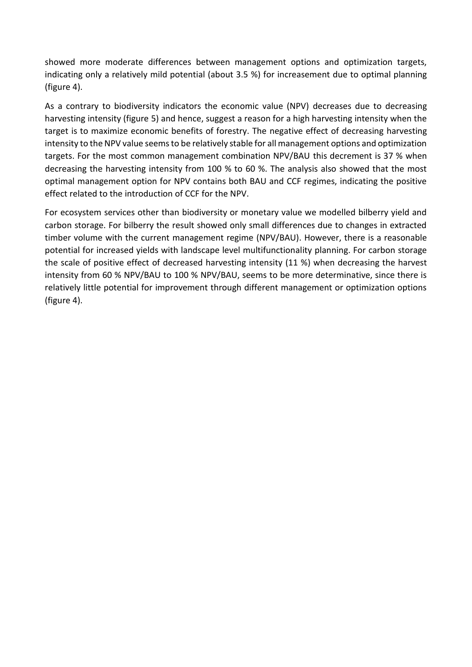showed more moderate differences between management options and optimization targets, indicating only a relatively mild potential (about 3.5 %) for increasement due to optimal planning (figure 4).

As a contrary to biodiversity indicators the economic value (NPV) decreases due to decreasing harvesting intensity (figure 5) and hence, suggest a reason for a high harvesting intensity when the target is to maximize economic benefits of forestry. The negative effect of decreasing harvesting intensity to the NPV value seems to be relatively stable for all management options and optimization targets. For the most common management combination NPV/BAU this decrement is 37 % when decreasing the harvesting intensity from 100 % to 60 %. The analysis also showed that the most optimal management option for NPV contains both BAU and CCF regimes, indicating the positive effect related to the introduction of CCF for the NPV.

For ecosystem services other than biodiversity or monetary value we modelled bilberry yield and carbon storage. For bilberry the result showed only small differences due to changes in extracted timber volume with the current management regime (NPV/BAU). However, there is a reasonable potential for increased yields with landscape level multifunctionality planning. For carbon storage the scale of positive effect of decreased harvesting intensity (11 %) when decreasing the harvest intensity from 60 % NPV/BAU to 100 % NPV/BAU, seems to be more determinative, since there is relatively little potential for improvement through different management or optimization options (figure 4).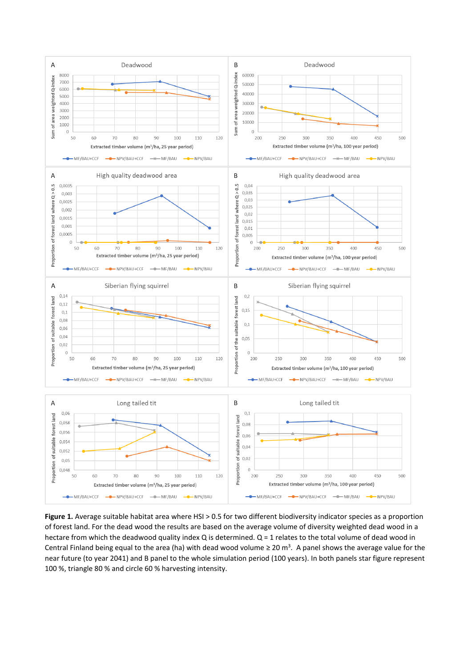

Figure 1. Average suitable habitat area where HSI > 0.5 for two different biodiversity indicator species as a proportion of forest land. For the dead wood the results are based on the average volume of diversity weighted dead wood in a hectare from which the deadwood quality index  $Q$  is determined.  $Q = 1$  relates to the total volume of dead wood in Central Finland being equal to the area (ha) with dead wood volume  $\geq 20$  m<sup>3</sup>. A panel shows the average value for the near future (to year 2041) and B panel to the whole simulation period (100 years). In both panels star figure represent 100 %, triangle 80 % and circle 60 % harvesting intensity.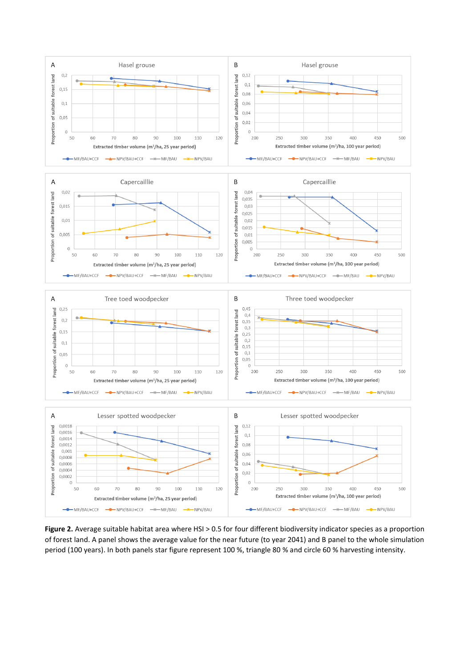

**Figure 2.** Average suitable habitat area where HSI > 0.5 for four different biodiversity indicator species as a proportion of forest land. A panel shows the average value for the near future (to year 2041) and B panel to the whole simulation period (100 years). In both panels star figure represent 100 %, triangle 80 % and circle 60 % harvesting intensity.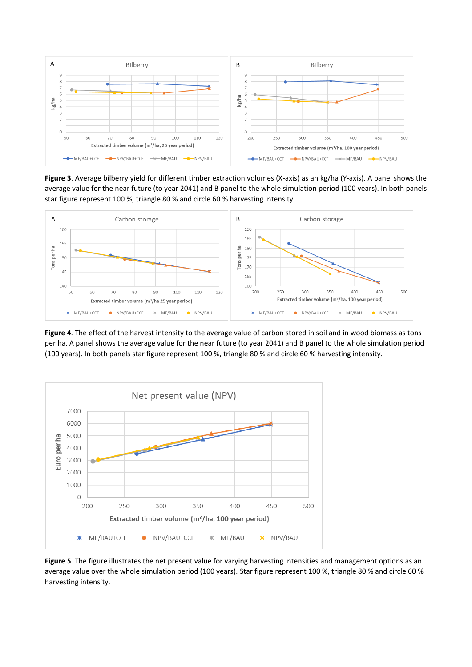

**Figure 3**. Average bilberry yield for different timber extraction volumes (X-axis) as an kg/ha (Y-axis). A panel shows the average value for the near future (to year 2041) and B panel to the whole simulation period (100 years). In both panels star figure represent 100 %, triangle 80 % and circle 60 % harvesting intensity.



**Figure 4**. The effect of the harvest intensity to the average value of carbon stored in soil and in wood biomass as tons per ha. A panel shows the average value for the near future (to year 2041) and B panel to the whole simulation period (100 years). In both panels star figure represent 100 %, triangle 80 % and circle 60 % harvesting intensity.



**Figure 5**. The figure illustrates the net present value for varying harvesting intensities and management options as an average value over the whole simulation period (100 years). Star figure represent 100 %, triangle 80 % and circle 60 % harvesting intensity.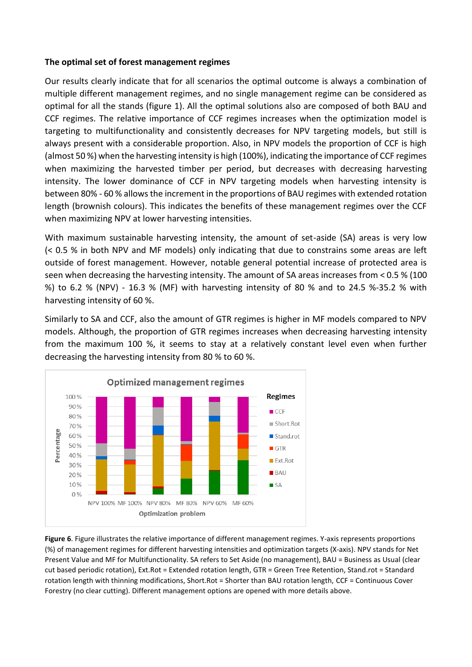#### **The optimal set of forest management regimes**

Our results clearly indicate that for all scenarios the optimal outcome is always a combination of multiple different management regimes, and no single management regime can be considered as optimal for all the stands (figure 1). All the optimal solutions also are composed of both BAU and CCF regimes. The relative importance of CCF regimes increases when the optimization model is targeting to multifunctionality and consistently decreases for NPV targeting models, but still is always present with a considerable proportion. Also, in NPV models the proportion of CCF is high (almost 50 %) when the harvesting intensity is high (100%), indicating the importance of CCF regimes when maximizing the harvested timber per period, but decreases with decreasing harvesting intensity. The lower dominance of CCF in NPV targeting models when harvesting intensity is between 80% - 60 % allows the increment in the proportions of BAU regimes with extended rotation length (brownish colours). This indicates the benefits of these management regimes over the CCF when maximizing NPV at lower harvesting intensities.

With maximum sustainable harvesting intensity, the amount of set-aside (SA) areas is very low (< 0.5 % in both NPV and MF models) only indicating that due to constrains some areas are left outside of forest management. However, notable general potential increase of protected area is seen when decreasing the harvesting intensity. The amount of SA areas increases from < 0.5 % (100 %) to 6.2 % (NPV) - 16.3 % (MF) with harvesting intensity of 80 % and to 24.5 %-35.2 % with harvesting intensity of 60 %.

Similarly to SA and CCF, also the amount of GTR regimes is higher in MF models compared to NPV models. Although, the proportion of GTR regimes increases when decreasing harvesting intensity from the maximum 100 %, it seems to stay at a relatively constant level even when further decreasing the harvesting intensity from 80 % to 60 %.



**Figure 6**. Figure illustrates the relative importance of different management regimes. Y-axis represents proportions (%) of management regimes for different harvesting intensities and optimization targets (X-axis). NPV stands for Net Present Value and MF for Multifunctionality. SA refers to Set Aside (no management), BAU = Business as Usual (clear cut based periodic rotation), Ext.Rot = Extended rotation length, GTR = Green Tree Retention, Stand.rot = Standard rotation length with thinning modifications, Short.Rot = Shorter than BAU rotation length, CCF = Continuous Cover Forestry (no clear cutting). Different management options are opened with more details above.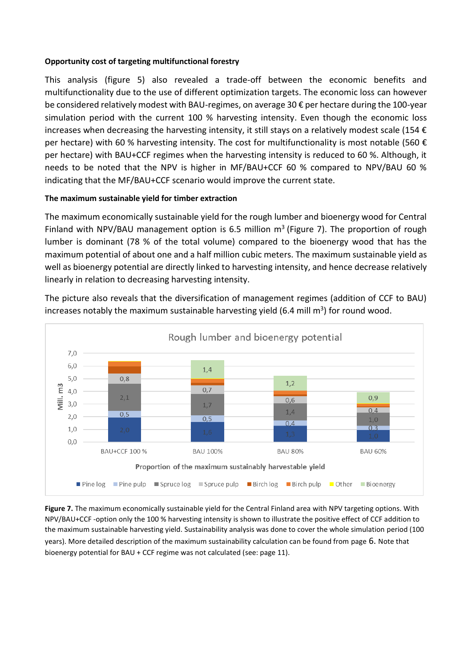#### **Opportunity cost of targeting multifunctional forestry**

This analysis (figure 5) also revealed a trade-off between the economic benefits and multifunctionality due to the use of different optimization targets. The economic loss can however be considered relatively modest with BAU-regimes, on average 30 € per hectare during the 100-year simulation period with the current 100 % harvesting intensity. Even though the economic loss increases when decreasing the harvesting intensity, it still stays on a relatively modest scale (154  $\epsilon$ per hectare) with 60 % harvesting intensity. The cost for multifunctionality is most notable (560  $\epsilon$ per hectare) with BAU+CCF regimes when the harvesting intensity is reduced to 60 %. Although, it needs to be noted that the NPV is higher in MF/BAU+CCF 60 % compared to NPV/BAU 60 % indicating that the MF/BAU+CCF scenario would improve the current state.

#### **The maximum sustainable yield for timber extraction**

The maximum economically sustainable yield for the rough lumber and bioenergy wood for Central Finland with NPV/BAU management option is 6.5 million  $m<sup>3</sup>$  (Figure 7). The proportion of rough lumber is dominant (78 % of the total volume) compared to the bioenergy wood that has the maximum potential of about one and a half million cubic meters. The maximum sustainable yield as well as bioenergy potential are directly linked to harvesting intensity, and hence decrease relatively linearly in relation to decreasing harvesting intensity.

The picture also reveals that the diversification of management regimes (addition of CCF to BAU) increases notably the maximum sustainable harvesting yield (6.4 mill m<sup>3</sup>) for round wood.



**Figure 7.** The maximum economically sustainable yield for the Central Finland area with NPV targeting options. With NPV/BAU+CCF -option only the 100 % harvesting intensity is shown to illustrate the positive effect of CCF addition to the maximum sustainable harvesting yield. Sustainability analysis was done to cover the whole simulation period (100 years). More detailed description of the maximum sustainability calculation can be found from page 6. Note that bioenergy potential for BAU + CCF regime was not calculated (see: page 11).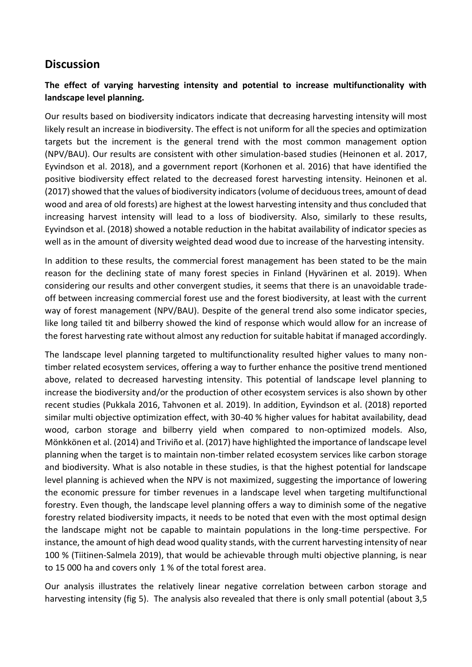## **Discussion**

### **The effect of varying harvesting intensity and potential to increase multifunctionality with landscape level planning.**

Our results based on biodiversity indicators indicate that decreasing harvesting intensity will most likely result an increase in biodiversity. The effect is not uniform for all the species and optimization targets but the increment is the general trend with the most common management option (NPV/BAU). Our results are consistent with other simulation-based studies (Heinonen et al. 2017, Eyvindson et al. 2018), and a government report (Korhonen et al. 2016) that have identified the positive biodiversity effect related to the decreased forest harvesting intensity. Heinonen et al. (2017) showed that the values of biodiversity indicators (volume of deciduous trees, amount of dead wood and area of old forests) are highest at the lowest harvesting intensity and thus concluded that increasing harvest intensity will lead to a loss of biodiversity. Also, similarly to these results, Eyvindson et al. (2018) showed a notable reduction in the habitat availability of indicator species as well as in the amount of diversity weighted dead wood due to increase of the harvesting intensity.

In addition to these results, the commercial forest management has been stated to be the main reason for the declining state of many forest species in Finland (Hyvärinen et al. 2019). When considering our results and other convergent studies, it seems that there is an unavoidable tradeoff between increasing commercial forest use and the forest biodiversity, at least with the current way of forest management (NPV/BAU). Despite of the general trend also some indicator species, like long tailed tit and bilberry showed the kind of response which would allow for an increase of the forest harvesting rate without almost any reduction for suitable habitat if managed accordingly.

The landscape level planning targeted to multifunctionality resulted higher values to many nontimber related ecosystem services, offering a way to further enhance the positive trend mentioned above, related to decreased harvesting intensity. This potential of landscape level planning to increase the biodiversity and/or the production of other ecosystem services is also shown by other recent studies (Pukkala 2016, Tahvonen et al. 2019). In addition, Eyvindson et al. (2018) reported similar multi objective optimization effect, with 30-40 % higher values for habitat availability, dead wood, carbon storage and bilberry yield when compared to non-optimized models. Also, Mönkkönen et al. (2014) and Triviño et al. (2017) have highlighted the importance of landscape level planning when the target is to maintain non-timber related ecosystem services like carbon storage and biodiversity. What is also notable in these studies, is that the highest potential for landscape level planning is achieved when the NPV is not maximized, suggesting the importance of lowering the economic pressure for timber revenues in a landscape level when targeting multifunctional forestry. Even though, the landscape level planning offers a way to diminish some of the negative forestry related biodiversity impacts, it needs to be noted that even with the most optimal design the landscape might not be capable to maintain populations in the long-time perspective. For instance, the amount of high dead wood quality stands, with the current harvesting intensity of near 100 % (Tiitinen-Salmela 2019), that would be achievable through multi objective planning, is near to 15 000 ha and covers only 1 % of the total forest area.

Our analysis illustrates the relatively linear negative correlation between carbon storage and harvesting intensity (fig 5). The analysis also revealed that there is only small potential (about 3,5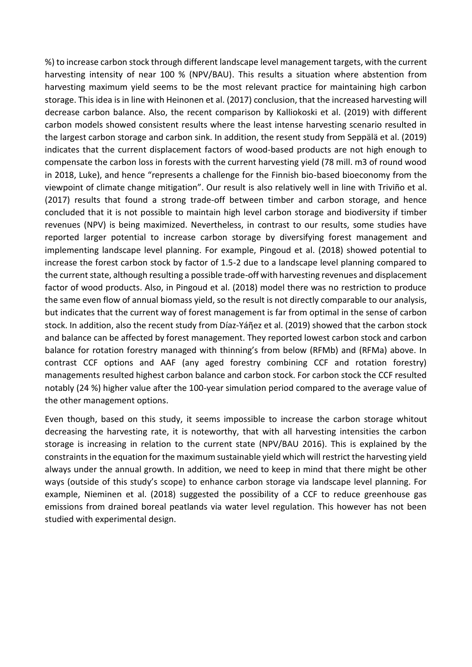%) to increase carbon stock through different landscape level management targets, with the current harvesting intensity of near 100 % (NPV/BAU). This results a situation where abstention from harvesting maximum yield seems to be the most relevant practice for maintaining high carbon storage. This idea is in line with Heinonen et al. (2017) conclusion, that the increased harvesting will decrease carbon balance. Also, the recent comparison by Kalliokoski et al. (2019) with different carbon models showed consistent results where the least intense harvesting scenario resulted in the largest carbon storage and carbon sink. In addition, the resent study from Seppälä et al. (2019) indicates that the current displacement factors of wood-based products are not high enough to compensate the carbon loss in forests with the current harvesting yield (78 mill. m3 of round wood in 2018, Luke), and hence "represents a challenge for the Finnish bio-based bioeconomy from the viewpoint of climate change mitigation". Our result is also relatively well in line with Triviño et al. (2017) results that found a strong trade-off between timber and carbon storage, and hence concluded that it is not possible to maintain high level carbon storage and biodiversity if timber revenues (NPV) is being maximized. Nevertheless, in contrast to our results, some studies have reported larger potential to increase carbon storage by diversifying forest management and implementing landscape level planning. For example, Pingoud et al. (2018) showed potential to increase the forest carbon stock by factor of 1.5-2 due to a landscape level planning compared to the current state, although resulting a possible trade-off with harvesting revenues and displacement factor of wood products. Also, in Pingoud et al. (2018) model there was no restriction to produce the same even flow of annual biomass yield, so the result is not directly comparable to our analysis, but indicates that the current way of forest management is far from optimal in the sense of carbon stock. In addition, also the recent study from Díaz-Yáῆez et al. (2019) showed that the carbon stock and balance can be affected by forest management. They reported lowest carbon stock and carbon balance for rotation forestry managed with thinning's from below (RFMb) and (RFMa) above. In contrast CCF options and AAF (any aged forestry combining CCF and rotation forestry) managements resulted highest carbon balance and carbon stock. For carbon stock the CCF resulted notably (24 %) higher value after the 100-year simulation period compared to the average value of the other management options.

Even though, based on this study, it seems impossible to increase the carbon storage whitout decreasing the harvesting rate, it is noteworthy, that with all harvesting intensities the carbon storage is increasing in relation to the current state (NPV/BAU 2016). This is explained by the constraints in the equation for the maximum sustainable yield which will restrict the harvesting yield always under the annual growth. In addition, we need to keep in mind that there might be other ways (outside of this study's scope) to enhance carbon storage via landscape level planning. For example, Nieminen et al. (2018) suggested the possibility of a CCF to reduce greenhouse gas emissions from drained boreal peatlands via water level regulation. This however has not been studied with experimental design.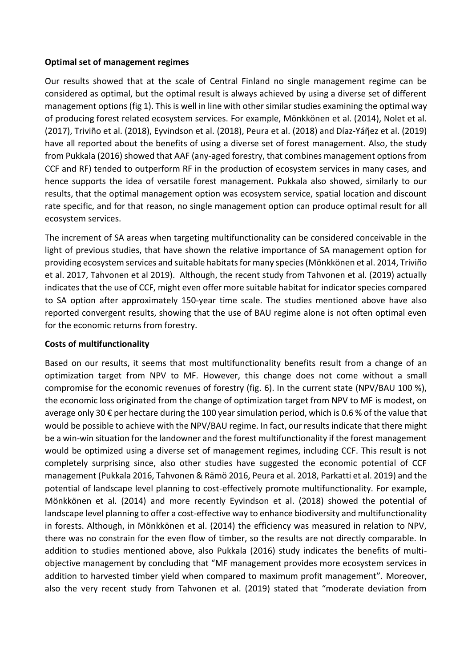#### **Optimal set of management regimes**

Our results showed that at the scale of Central Finland no single management regime can be considered as optimal, but the optimal result is always achieved by using a diverse set of different management options (fig 1). This is well in line with other similar studies examining the optimal way of producing forest related ecosystem services. For example, Mönkkönen et al. (2014), Nolet et al. (2017), Triviño et al. (2018), Eyvindson et al. (2018), Peura et al. (2018) and Díaz-Yáῆez et al. (2019) have all reported about the benefits of using a diverse set of forest management. Also, the study from Pukkala (2016) showed that AAF (any-aged forestry, that combines management options from CCF and RF) tended to outperform RF in the production of ecosystem services in many cases, and hence supports the idea of versatile forest management. Pukkala also showed, similarly to our results, that the optimal management option was ecosystem service, spatial location and discount rate specific, and for that reason, no single management option can produce optimal result for all ecosystem services.

The increment of SA areas when targeting multifunctionality can be considered conceivable in the light of previous studies, that have shown the relative importance of SA management option for providing ecosystem services and suitable habitats for many species (Mönkkönen et al. 2014, Triviño et al. 2017, Tahvonen et al 2019). Although, the recent study from Tahvonen et al. (2019) actually indicates that the use of CCF, might even offer more suitable habitat for indicator species compared to SA option after approximately 150-year time scale. The studies mentioned above have also reported convergent results, showing that the use of BAU regime alone is not often optimal even for the economic returns from forestry.

#### **Costs of multifunctionality**

Based on our results, it seems that most multifunctionality benefits result from a change of an optimization target from NPV to MF. However, this change does not come without a small compromise for the economic revenues of forestry (fig. 6). In the current state (NPV/BAU 100 %), the economic loss originated from the change of optimization target from NPV to MF is modest, on average only 30  $\epsilon$  per hectare during the 100 year simulation period, which is 0.6 % of the value that would be possible to achieve with the NPV/BAU regime. In fact, our results indicate that there might be a win-win situation for the landowner and the forest multifunctionality if the forest management would be optimized using a diverse set of management regimes, including CCF. This result is not completely surprising since, also other studies have suggested the economic potential of CCF management (Pukkala 2016, Tahvonen & Rämö 2016, Peura et al. 2018, Parkatti et al. 2019) and the potential of landscape level planning to cost-effectively promote multifunctionality. For example, Mönkkönen et al. (2014) and more recently Eyvindson et al. (2018) showed the potential of landscape level planning to offer a cost-effective way to enhance biodiversity and multifunctionality in forests. Although, in Mönkkönen et al. (2014) the efficiency was measured in relation to NPV, there was no constrain for the even flow of timber, so the results are not directly comparable. In addition to studies mentioned above, also Pukkala (2016) study indicates the benefits of multiobjective management by concluding that "MF management provides more ecosystem services in addition to harvested timber yield when compared to maximum profit management". Moreover, also the very recent study from Tahvonen et al. (2019) stated that "moderate deviation from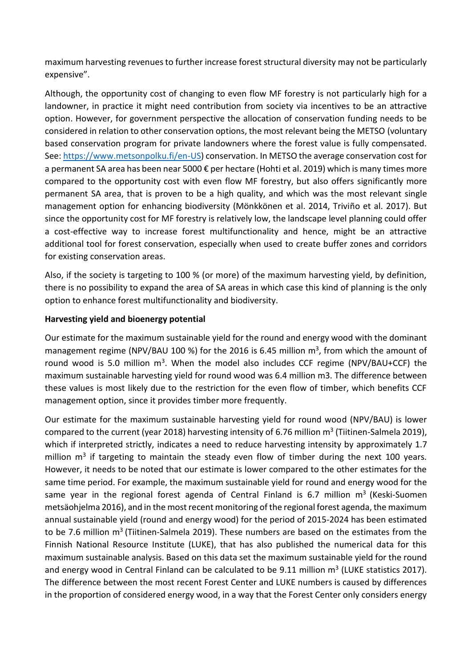maximum harvesting revenues to further increase forest structural diversity may not be particularly expensive".

Although, the opportunity cost of changing to even flow MF forestry is not particularly high for a landowner, in practice it might need contribution from society via incentives to be an attractive option. However, for government perspective the allocation of conservation funding needs to be considered in relation to other conservation options, the most relevant being the METSO (voluntary based conservation program for private landowners where the forest value is fully compensated. See[: https://www.metsonpolku.fi/en-US\)](https://www.metsonpolku.fi/en-US) conservation. In METSO the average conservation cost for a permanent SA area has been near 5000 € per hectare (Hohti et al. 2019) which is many times more compared to the opportunity cost with even flow MF forestry, but also offers significantly more permanent SA area, that is proven to be a high quality, and which was the most relevant single management option for enhancing biodiversity (Mönkkönen et al. 2014, Triviño et al. 2017). But since the opportunity cost for MF forestry is relatively low, the landscape level planning could offer a cost-effective way to increase forest multifunctionality and hence, might be an attractive additional tool for forest conservation, especially when used to create buffer zones and corridors for existing conservation areas.

Also, if the society is targeting to 100 % (or more) of the maximum harvesting yield, by definition, there is no possibility to expand the area of SA areas in which case this kind of planning is the only option to enhance forest multifunctionality and biodiversity.

#### **Harvesting yield and bioenergy potential**

Our estimate for the maximum sustainable yield for the round and energy wood with the dominant management regime (NPV/BAU 100 %) for the 2016 is 6.45 million  $m^3$ , from which the amount of round wood is 5.0 million  $m^3$ . When the model also includes CCF regime (NPV/BAU+CCF) the maximum sustainable harvesting yield for round wood was 6.4 million m3. The difference between these values is most likely due to the restriction for the even flow of timber, which benefits CCF management option, since it provides timber more frequently.

Our estimate for the maximum sustainable harvesting yield for round wood (NPV/BAU) is lower compared to the current (year 2018) harvesting intensity of 6.76 million m<sup>3</sup> (Tiitinen-Salmela 2019), which if interpreted strictly, indicates a need to reduce harvesting intensity by approximately 1.7 million m<sup>3</sup> if targeting to maintain the steady even flow of timber during the next 100 years. However, it needs to be noted that our estimate is lower compared to the other estimates for the same time period. For example, the maximum sustainable yield for round and energy wood for the same year in the regional forest agenda of Central Finland is 6.7 million  $m<sup>3</sup>$  (Keski-Suomen metsäohjelma 2016), and in the most recent monitoring of the regional forest agenda, the maximum annual sustainable yield (round and energy wood) for the period of 2015-2024 has been estimated to be 7.6 million m<sup>3</sup> (Tiitinen-Salmela 2019). These numbers are based on the estimates from the Finnish National Resource Institute (LUKE), that has also published the numerical data for this maximum sustainable analysis. Based on this data set the maximum sustainable yield for the round and energy wood in Central Finland can be calculated to be  $9.11$  million  $m<sup>3</sup>$  (LUKE statistics 2017). The difference between the most recent Forest Center and LUKE numbers is caused by differences in the proportion of considered energy wood, in a way that the Forest Center only considers energy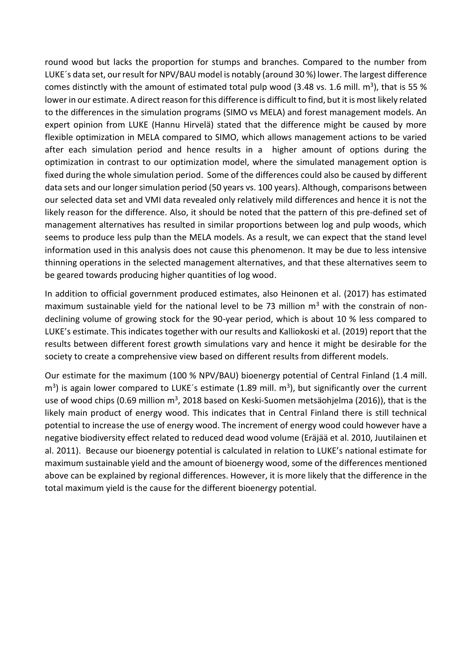round wood but lacks the proportion for stumps and branches. Compared to the number from LUKE´s data set, our result for NPV/BAU model is notably (around 30 %) lower. The largest difference comes distinctly with the amount of estimated total pulp wood (3.48 vs. 1.6 mill.  $m^3$ ), that is 55 % lower in our estimate. A direct reason for this difference is difficult to find, but it is most likely related to the differences in the simulation programs (SIMO vs MELA) and forest management models. An expert opinion from LUKE (Hannu Hirvelä) stated that the difference might be caused by more flexible optimization in MELA compared to SIMO, which allows management actions to be varied after each simulation period and hence results in a higher amount of options during the optimization in contrast to our optimization model, where the simulated management option is fixed during the whole simulation period. Some of the differences could also be caused by different data sets and our longer simulation period (50 years vs. 100 years). Although, comparisons between our selected data set and VMI data revealed only relatively mild differences and hence it is not the likely reason for the difference. Also, it should be noted that the pattern of this pre-defined set of management alternatives has resulted in similar proportions between log and pulp woods, which seems to produce less pulp than the MELA models. As a result, we can expect that the stand level information used in this analysis does not cause this phenomenon. It may be due to less intensive thinning operations in the selected management alternatives, and that these alternatives seem to be geared towards producing higher quantities of log wood.

In addition to official government produced estimates, also Heinonen et al. (2017) has estimated maximum sustainable yield for the national level to be 73 million  $m<sup>3</sup>$  with the constrain of nondeclining volume of growing stock for the 90-year period, which is about 10 % less compared to LUKE's estimate. This indicates together with our results and Kalliokoski et al. (2019) report that the results between different forest growth simulations vary and hence it might be desirable for the society to create a comprehensive view based on different results from different models.

Our estimate for the maximum (100 % NPV/BAU) bioenergy potential of Central Finland (1.4 mill.  $\text{m}^3$ ) is again lower compared to LUKE's estimate (1.89 mill.  $\text{m}^3$ ), but significantly over the current use of wood chips (0.69 million  $m^3$ , 2018 based on Keski-Suomen metsäohjelma (2016)), that is the likely main product of energy wood. This indicates that in Central Finland there is still technical potential to increase the use of energy wood. The increment of energy wood could however have a negative biodiversity effect related to reduced dead wood volume (Eräjää et al. 2010, Juutilainen et al. 2011). Because our bioenergy potential is calculated in relation to LUKE's national estimate for maximum sustainable yield and the amount of bioenergy wood, some of the differences mentioned above can be explained by regional differences. However, it is more likely that the difference in the total maximum yield is the cause for the different bioenergy potential.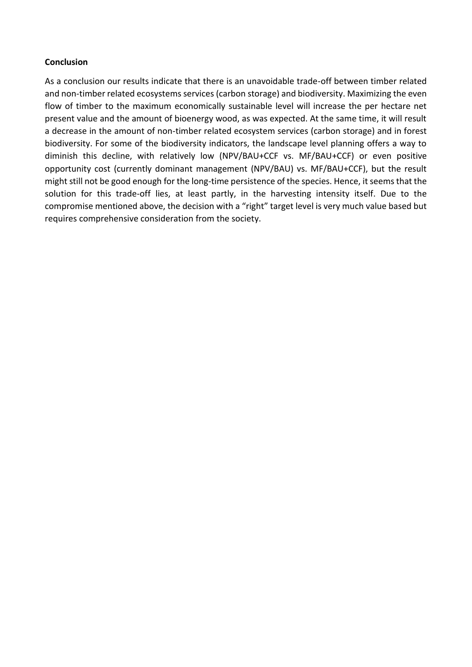#### **Conclusion**

As a conclusion our results indicate that there is an unavoidable trade-off between timber related and non-timber related ecosystems services (carbon storage) and biodiversity. Maximizing the even flow of timber to the maximum economically sustainable level will increase the per hectare net present value and the amount of bioenergy wood, as was expected. At the same time, it will result a decrease in the amount of non-timber related ecosystem services (carbon storage) and in forest biodiversity. For some of the biodiversity indicators, the landscape level planning offers a way to diminish this decline, with relatively low (NPV/BAU+CCF vs. MF/BAU+CCF) or even positive opportunity cost (currently dominant management (NPV/BAU) vs. MF/BAU+CCF), but the result might still not be good enough for the long-time persistence of the species. Hence, it seems that the solution for this trade-off lies, at least partly, in the harvesting intensity itself. Due to the compromise mentioned above, the decision with a "right" target level is very much value based but requires comprehensive consideration from the society.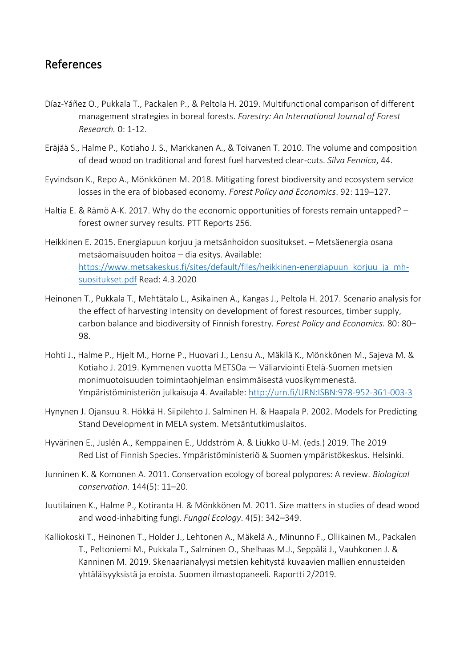## References

- Díaz-Yáñez O., Pukkala T., Packalen P., & Peltola H. 2019. Multifunctional comparison of different management strategies in boreal forests. *Forestry: An International Journal of Forest Research.* 0: 1-12.
- Eräjää S., Halme P., Kotiaho J. S., Markkanen A., & Toivanen T. 2010. The volume and composition of dead wood on traditional and forest fuel harvested clear-cuts. *Silva Fennica*, 44.
- Eyvindson K., Repo A., Mönkkönen M. 2018. Mitigating forest biodiversity and ecosystem service losses in the era of biobased economy. *Forest Policy and Economics*. 92: 119–127.
- Haltia E. & Rämö A-K. 2017. Why do the economic opportunities of forests remain untapped? forest owner survey results. PTT Reports 256.
- Heikkinen E. 2015. Energiapuun korjuu ja metsänhoidon suositukset. Metsäenergia osana metsäomaisuuden hoitoa – dia esitys. Available: [https://www.metsakeskus.fi/sites/default/files/heikkinen-energiapuun\\_korjuu\\_ja\\_mh](https://www.metsakeskus.fi/sites/default/files/heikkinen-energiapuun_korjuu_ja_mh-suositukset.pdf)[suositukset.pdf](https://www.metsakeskus.fi/sites/default/files/heikkinen-energiapuun_korjuu_ja_mh-suositukset.pdf) Read: 4.3.2020
- Heinonen T., Pukkala T., Mehtätalo L., Asikainen A., Kangas J., Peltola H. 2017. Scenario analysis for the effect of harvesting intensity on development of forest resources, timber supply, carbon balance and biodiversity of Finnish forestry. *Forest Policy and Economics.* 80: 80– 98.
- Hohti J., Halme P., Hjelt M., Horne P., Huovari J., Lensu A., Mäkilä K., Mönkkönen M., Sajeva M. & Kotiaho J. 2019. Kymmenen vuotta METSOa — Väliarviointi Etelä-Suomen metsien monimuotoisuuden toimintaohjelman ensimmäisestä vuosikymmenestä. Ympäristöministeriön julkaisuja 4. Available:<http://urn.fi/URN:ISBN:978-952-361-003-3>
- Hynynen J. Ojansuu R. Hökkä H. Siipilehto J. Salminen H. & Haapala P. 2002. Models for Predicting Stand Development in MELA system. Metsäntutkimuslaitos.
- Hyvärinen E., Juslén A., Kemppainen E., Uddström A. & Liukko U-M. (eds.) 2019. The 2019 Red List of Finnish Species. Ympäristöministeriö & Suomen ympäristökeskus. Helsinki.
- Junninen K. & Komonen A. 2011. Conservation ecology of boreal polypores: A review. *Biological conservation*. 144(5): 11–20.
- Juutilainen K., Halme P., Kotiranta H. & Mönkkönen M. 2011. Size matters in studies of dead wood and wood-inhabiting fungi. *Fungal Ecology*. 4(5): 342–349.
- Kalliokoski T., Heinonen T., Holder J., Lehtonen A., Mäkelä A., Minunno F., Ollikainen M., Packalen T., Peltoniemi M., Pukkala T., Salminen O., Shelhaas M.J., Seppälä J., Vauhkonen J. & Kanninen M. 2019. Skenaarianalyysi metsien kehitystä kuvaavien mallien ennusteiden yhtäläisyyksistä ja eroista. Suomen ilmastopaneeli. Raportti 2/2019.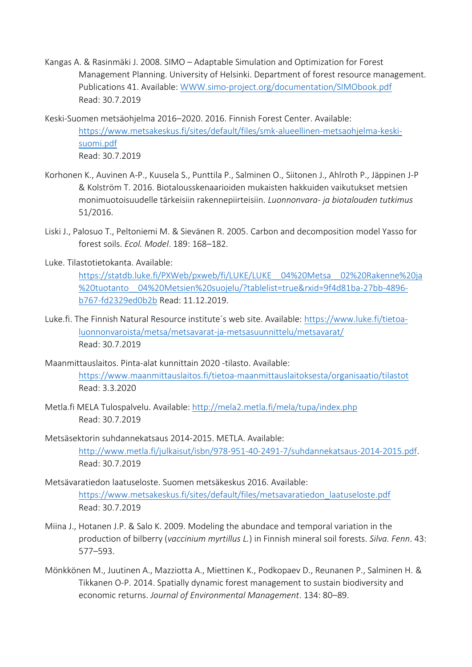- Kangas A. & Rasinmäki J. 2008. SIMO Adaptable Simulation and Optimization for Forest Management Planning. University of Helsinki. Department of forest resource management. Publications 41. Available: [WWW.simo-project.org/documentation/SIMObook.pdf](http://www.simo-project.org/documentation/SIMObook.pdf) Read: 30.7.2019
- Keski-Suomen metsäohjelma 2016–2020. 2016. Finnish Forest Center. Available: [https://www.metsakeskus.fi/sites/default/files/smk-alueellinen-metsaohjelma-keski](https://www.metsakeskus.fi/sites/default/files/smk-alueellinen-metsaohjelma-keski-suomi.pdf)[suomi.pdf](https://www.metsakeskus.fi/sites/default/files/smk-alueellinen-metsaohjelma-keski-suomi.pdf) Read: 30.7.2019
- Korhonen K., Auvinen A-P., Kuusela S., Punttila P., Salminen O., Siitonen J., Ahlroth P., Jäppinen J-P & Kolström T. 2016. Biotalousskenaarioiden mukaisten hakkuiden vaikutukset metsien monimuotoisuudelle tärkeisiin rakennepiirteisiin. *Luonnonvara- ja biotalouden tutkimus* 51/2016.
- Liski J., Palosuo T., Peltoniemi M. & Sievänen R. 2005. Carbon and decomposition model Yasso for forest soils. *Ecol. Model*. 189: 168–182.
- Luke. Tilastotietokanta. Available:

[https://statdb.luke.fi/PXWeb/pxweb/fi/LUKE/LUKE\\_\\_04%20Metsa\\_\\_02%20Rakenne%20ja](https://statdb.luke.fi/PXWeb/pxweb/fi/LUKE/LUKE__04%20Metsa__02%20Rakenne%20ja%20tuotanto__04%20Metsien%20suojelu/?tablelist=true&rxid=9f4d81ba-27bb-4896-b767-fd2329ed0b2b) [%20tuotanto\\_\\_04%20Metsien%20suojelu/?tablelist=true&rxid=9f4d81ba-27bb-4896](https://statdb.luke.fi/PXWeb/pxweb/fi/LUKE/LUKE__04%20Metsa__02%20Rakenne%20ja%20tuotanto__04%20Metsien%20suojelu/?tablelist=true&rxid=9f4d81ba-27bb-4896-b767-fd2329ed0b2b) [b767-fd2329ed0b2b](https://statdb.luke.fi/PXWeb/pxweb/fi/LUKE/LUKE__04%20Metsa__02%20Rakenne%20ja%20tuotanto__04%20Metsien%20suojelu/?tablelist=true&rxid=9f4d81ba-27bb-4896-b767-fd2329ed0b2b) Read: 11.12.2019.

- Luke.fi. The Finnish Natural Resource institute´s web site. Available: [https://www.luke.fi/tietoa](https://www.luke.fi/tietoa-luonnonvaroista/metsa/metsavarat-ja-metsasuunnittelu/metsavarat/)[luonnonvaroista/metsa/metsavarat-ja-metsasuunnittelu/metsavarat/](https://www.luke.fi/tietoa-luonnonvaroista/metsa/metsavarat-ja-metsasuunnittelu/metsavarat/) Read: 30.7.2019
- Maanmittauslaitos. Pinta-alat kunnittain 2020 -tilasto. Available: <https://www.maanmittauslaitos.fi/tietoa-maanmittauslaitoksesta/organisaatio/tilastot> Read: 3.3.2020
- Metla.fi MELA Tulospalvelu. Available:<http://mela2.metla.fi/mela/tupa/index.php> Read: 30.7.2019
- Metsäsektorin suhdannekatsaus 2014-2015. METLA. Available: [http://www.metla.fi/julkaisut/isbn/978-951-40-2491-7/suhdannekatsaus-2014-2015.pdf.](http://www.metla.fi/julkaisut/isbn/978-951-40-2491-7/suhdannekatsaus-2014-2015.pdf) Read: 30.7.2019
- Metsävaratiedon laatuseloste. Suomen metsäkeskus 2016. Available: [https://www.metsakeskus.fi/sites/default/files/metsavaratiedon\\_laatuseloste.pdf](https://www.metsakeskus.fi/sites/default/files/metsavaratiedon_laatuseloste.pdf) Read: 30.7.2019
- Miina J., Hotanen J.P. & Salo K. 2009. Modeling the abundace and temporal variation in the production of bilberry (*vaccinium myrtillus L.*) in Finnish mineral soil forests. *Silva. Fenn*. 43: 577–593.
- Mönkkönen M., Juutinen A., Mazziotta A., Miettinen K., Podkopaev D., Reunanen P., Salminen H. & Tikkanen O-P. 2014. Spatially dynamic forest management to sustain biodiversity and economic returns. *Journal of Environmental Management*. 134: 80–89.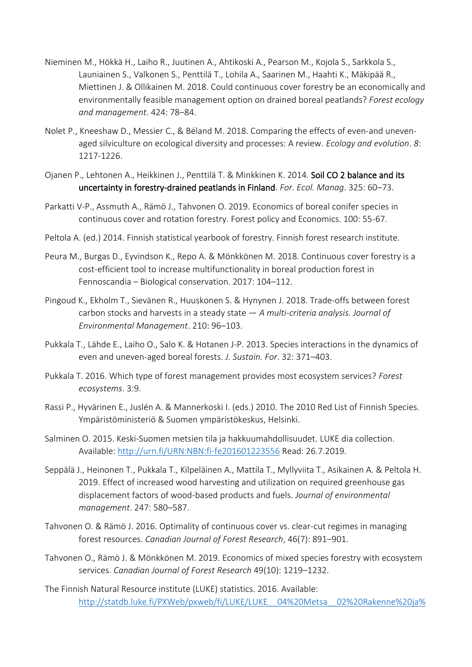- Nieminen M., Hökkä H., Laiho R., Juutinen A., Ahtikoski A., Pearson M., Kojola S., Sarkkola S., Launiainen S., Valkonen S., Penttilä T., Lohila A., Saarinen M., Haahti K., Mäkipää R., Miettinen J. & Ollikainen M. 2018. Could continuous cover forestry be an economically and environmentally feasible management option on drained boreal peatlands? *Forest ecology and management*. 424: 78–84.
- Nolet P., Kneeshaw D., Messier C., & Béland M. 2018. Comparing the effects of even-and unevenaged silviculture on ecological diversity and processes: A review. *Ecology and evolution*. *8*: 1217-1226.
- Ojanen P., Lehtonen A., Heikkinen J., Penttilä T. & Minkkinen K. 2014. Soil CO 2 balance and its uncertainty in forestry-drained peatlands in Finland. *For. Ecol. Manag*. 325: 60–73.
- Parkatti V-P., Assmuth A., Rämö J., Tahvonen O. 2019. Economics of boreal conifer species in continuous cover and rotation forestry. Forest policy and Economics. 100: 55-67.
- Peltola A. (ed.) 2014. Finnish statistical yearbook of forestry. Finnish forest research institute.
- Peura M., Burgas D., Eyvindson K., Repo A. & Mönkkönen M. 2018. Continuous cover forestry is a cost-efficient tool to increase multifunctionality in boreal production forest in Fennoscandia – Biological conservation. 2017: 104–112.
- Pingoud K., Ekholm T., Sievänen R., Huuskonen S. & Hynynen J. 2018. Trade-offs between forest carbon stocks and harvests in a steady state — *A multi-criteria analysis. Journal of Environmental Management*. 210: 96–103.
- Pukkala T., Lähde E., Laiho O., Salo K. & Hotanen J-P. 2013. Species interactions in the dynamics of even and uneven-aged boreal forests. *J. Sustain. For*. 32: 371–403.
- Pukkala T. 2016. Which type of forest management provides most ecosystem services? *Forest ecosystems*. 3:9.
- Rassi P., Hyvärinen E., Juslén A. & Mannerkoski I. (eds.) 2010. The 2010 Red List of Finnish Species. Ympäristöministeriö & Suomen ympäristökeskus, Helsinki.
- Salminen O. 2015. Keski-Suomen metsien tila ja hakkuumahdollisuudet. LUKE dia collection. Available:<http://urn.fi/URN:NBN:fi-fe201601223556> Read: 26.7.2019.
- Seppälä J., Heinonen T., Pukkala T., Kilpeläinen A., Mattila T., Myllyviita T., Asikainen A. & Peltola H. 2019. Effect of increased wood harvesting and utilization on required greenhouse gas displacement factors of wood-based products and fuels. *Journal of environmental management*. 247: 580–587.
- Tahvonen O. & Rämö J. 2016. Optimality of continuous cover vs. clear-cut regimes in managing forest resources. *Canadian Journal of Forest Research*, 46(7): 891–901.
- Tahvonen O., Rämö J. & Mönkkönen M. 2019. Economics of mixed species forestry with ecosystem services. *Canadian Journal of Forest Research* 49(10): 1219–1232.
- The Finnish Natural Resource institute (LUKE) statistics. 2016. Available: [http://statdb.luke.fi/PXWeb/pxweb/fi/LUKE/LUKE\\_\\_04%20Metsa\\_\\_02%20Rakenne%20ja%](http://statdb.luke.fi/PXWeb/pxweb/fi/LUKE/LUKE__04%20Metsa__02%20Rakenne%20ja%20tuotanto__04%20Metsien%20suojelu/02_metsien-suojelu.px/table/tableViewLayout1/?rxid=641751aa-c85a-4968-92a2-bb8415b82e71)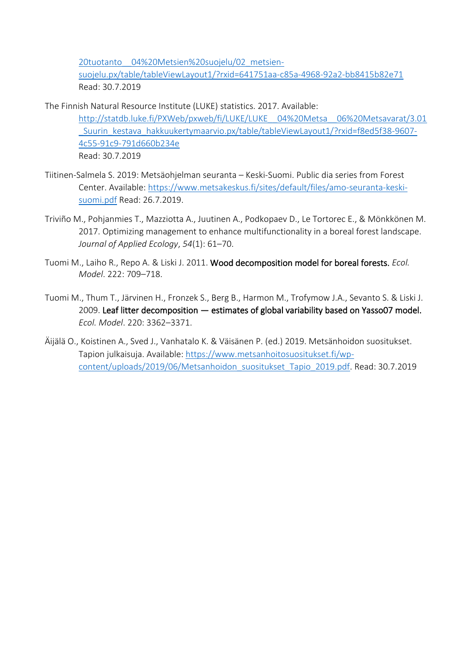[20tuotanto\\_\\_04%20Metsien%20suojelu/02\\_metsien-](http://statdb.luke.fi/PXWeb/pxweb/fi/LUKE/LUKE__04%20Metsa__02%20Rakenne%20ja%20tuotanto__04%20Metsien%20suojelu/02_metsien-suojelu.px/table/tableViewLayout1/?rxid=641751aa-c85a-4968-92a2-bb8415b82e71)

[suojelu.px/table/tableViewLayout1/?rxid=641751aa-c85a-4968-92a2-bb8415b82e71](http://statdb.luke.fi/PXWeb/pxweb/fi/LUKE/LUKE__04%20Metsa__02%20Rakenne%20ja%20tuotanto__04%20Metsien%20suojelu/02_metsien-suojelu.px/table/tableViewLayout1/?rxid=641751aa-c85a-4968-92a2-bb8415b82e71) Read: 30.7.2019

- The Finnish Natural Resource Institute (LUKE) statistics. 2017. Available: http://statdb.luke.fi/PXWeb/pxweb/fi/LUKE/LUKE\_04%20Metsa\_06%20Metsavarat/3.01 [\\_Suurin\\_kestava\\_hakkuukertymaarvio.px/table/tableViewLayout1/?rxid=f8ed5f38-9607-](http://statdb.luke.fi/PXWeb/pxweb/fi/LUKE/LUKE__04%20Metsa__06%20Metsavarat/3.01_Suurin_kestava_hakkuukertymaarvio.px/table/tableViewLayout1/?rxid=f8ed5f38-9607-4c55-91c9-791d660b234e) [4c55-91c9-791d660b234e](http://statdb.luke.fi/PXWeb/pxweb/fi/LUKE/LUKE__04%20Metsa__06%20Metsavarat/3.01_Suurin_kestava_hakkuukertymaarvio.px/table/tableViewLayout1/?rxid=f8ed5f38-9607-4c55-91c9-791d660b234e) Read: 30.7.2019
- Tiitinen-Salmela S. 2019: Metsäohjelman seuranta Keski-Suomi. Public dia series from Forest Center. Available: [https://www.metsakeskus.fi/sites/default/files/amo-seuranta-keski](https://www.metsakeskus.fi/sites/default/files/amo-seuranta-keski-suomi.pdf)[suomi.pdf](https://www.metsakeskus.fi/sites/default/files/amo-seuranta-keski-suomi.pdf) Read: 26.7.2019.
- Triviño M., Pohjanmies T., Mazziotta A., Juutinen A., Podkopaev D., Le Tortorec E., & Mönkkönen M. 2017. Optimizing management to enhance multifunctionality in a boreal forest landscape. *Journal of Applied Ecology*, *54*(1): 61–70.
- Tuomi M., Laiho R., Repo A. & Liski J. 2011. Wood decomposition model for boreal forests. *Ecol. Model*. 222: 709–718.
- Tuomi M., Thum T., Järvinen H., Fronzek S., Berg B., Harmon M., Trofymow J.A., Sevanto S. & Liski J. 2009. Leaf litter decomposition — estimates of global variability based on Yasso07 model. *Ecol. Model*. 220: 3362–3371.
- Äijälä O., Koistinen A., Sved J., Vanhatalo K. & Väisänen P. (ed.) 2019. Metsänhoidon suositukset. Tapion julkaisuja. Available: [https://www.metsanhoitosuositukset.fi/wp](https://www.metsanhoitosuositukset.fi/wp-content/uploads/2019/06/Metsanhoidon_suositukset_Tapio_2019.pdf)[content/uploads/2019/06/Metsanhoidon\\_suositukset\\_Tapio\\_2019.pdf.](https://www.metsanhoitosuositukset.fi/wp-content/uploads/2019/06/Metsanhoidon_suositukset_Tapio_2019.pdf) Read: 30.7.2019